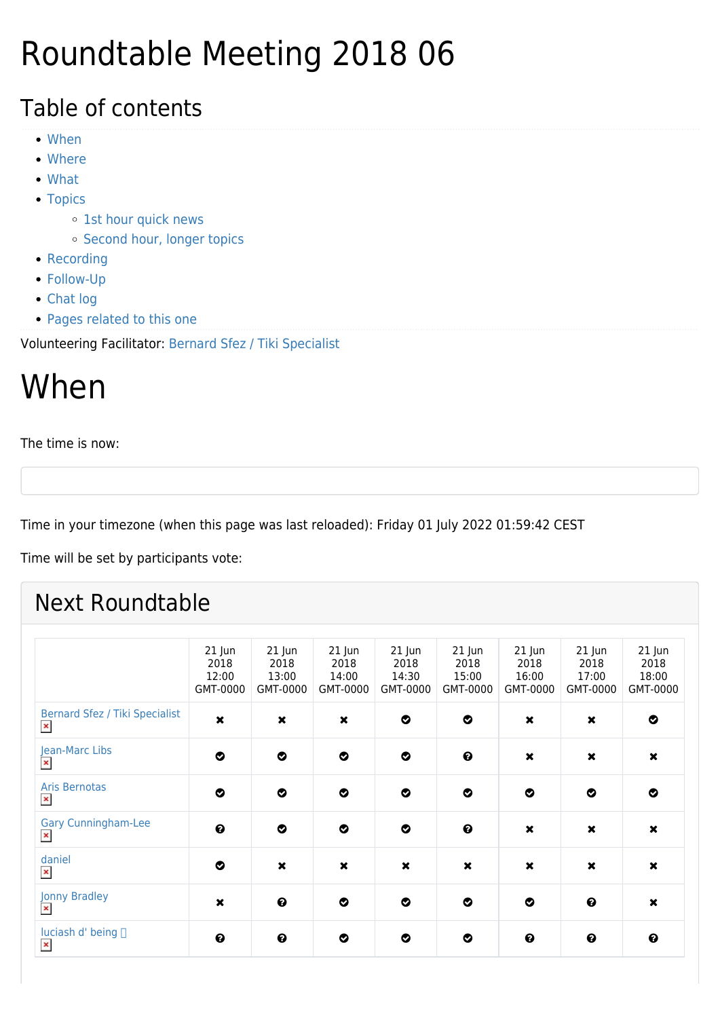### Roundtable Meeting 2018 06

#### Table of contents

- [When](#page--1-0)
- [Where](#page--1-0)
- [What](#page--1-0)
- [Topics](#page--1-0)
	- o [1st hour quick news](#page--1-0)
	- o [Second hour, longer topics](#page--1-0)
- [Recording](#page--1-0)
- [Follow-Up](#page--1-0)
- [Chat log](#page--1-0)
- [Pages related to this one](#page--1-0)

Volunteering Facilitator: [Bernard Sfez / Tiki Specialist](https://tiki.org/user1974)

### When

The time is now:

Time in your timezone (when this page was last reloaded): Friday 01 July 2022 01:59:42 CEST

Time will be set by participants vote:

#### Next Roundtable

|                                                  | $21$ Jun<br>2018<br>12:00<br>GMT-0000 | $21$ Jun<br>2018<br>13:00<br>GMT-0000 | $21$ Jun<br>2018<br>14:00<br>GMT-0000 | $21$ Jun<br>2018<br>14:30<br>GMT-0000 | $21$ Jun<br>2018<br>15:00<br>GMT-0000 | $21$ Jun<br>2018<br>16:00<br>GMT-0000 | $21$ Jun<br>2018<br>17:00<br>GMT-0000 | 21 Jun<br>2018<br>18:00<br>GMT-0000 |
|--------------------------------------------------|---------------------------------------|---------------------------------------|---------------------------------------|---------------------------------------|---------------------------------------|---------------------------------------|---------------------------------------|-------------------------------------|
| Bernard Sfez / Tiki Specialist<br>$\pmb{\times}$ | $\boldsymbol{\mathsf{x}}$             | $\boldsymbol{\mathsf{x}}$             | $\pmb{\times}$                        | $\bullet$                             | $\bullet$                             | $\pmb{\times}$                        | $\pmb{\times}$                        | $\bullet$                           |
| Jean-Marc Libs<br>$\pmb{\times}$                 | $\bullet$                             | $\bullet$                             | $\bullet$                             | $\bullet$                             | $\boldsymbol{\Theta}$                 | $\pmb{\times}$                        | $\pmb{\times}$                        | $\boldsymbol{\mathsf{x}}$           |
| Aris Bernotas<br>$\pmb{\times}$                  | $\bullet$                             | $\bullet$                             | $\bullet$                             | $\bullet$                             | $\bullet$                             | $\bullet$                             | $\bullet$                             | $\bullet$                           |
| <b>Gary Cunningham-Lee</b><br>$\pmb{\times}$     | $\boldsymbol{\Theta}$                 | $\bullet$                             | $\bullet$                             | $\bullet$                             | $\boldsymbol{\Theta}$                 | $\pmb{\times}$                        | $\pmb{\times}$                        | $\pmb{\times}$                      |
| daniel<br>$\pmb{\times}$                         | $\bullet$                             | $\pmb{\times}$                        | $\pmb{\times}$                        | $\pmb{\times}$                        | $\pmb{\times}$                        | $\pmb{\times}$                        | $\pmb{\times}$                        | $\pmb{\times}$                      |
| Jonny Bradley<br>$\boldsymbol{\mathsf{x}}$       | $\boldsymbol{\mathsf{x}}$             | $\boldsymbol{\Theta}$                 | $\bullet$                             | $\bullet$                             | $\bullet$                             | $\bullet$                             | $\boldsymbol{\Theta}$                 | $\boldsymbol{\mathsf{x}}$           |
| luciash d' being □<br>$\pmb{\times}$             | $\boldsymbol{\Theta}$                 | $\boldsymbol{\Theta}$                 | $\bullet$                             | $\bullet$                             | $\bullet$                             | $\boldsymbol{\Theta}$                 | $\boldsymbol{\Theta}$                 | $\boldsymbol{\Theta}$               |